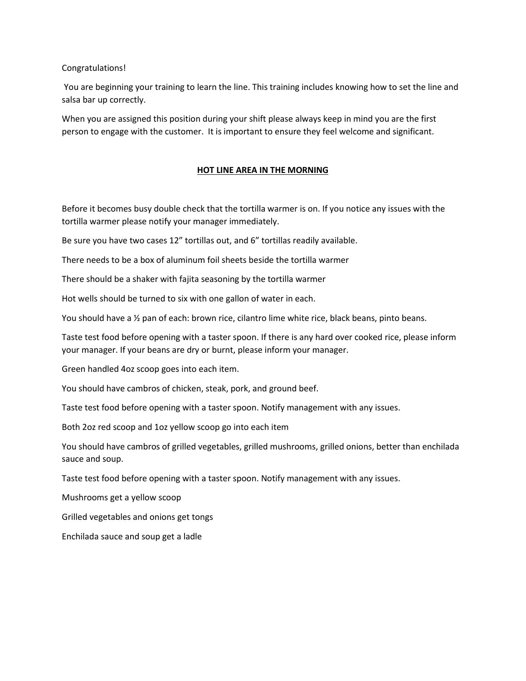Congratulations!

You are beginning your training to learn the line. This training includes knowing how to set the line and salsa bar up correctly.

When you are assigned this position during your shift please always keep in mind you are the first person to engage with the customer. It is important to ensure they feel welcome and significant.

## **HOT LINE AREA IN THE MORNING**

Before it becomes busy double check that the tortilla warmer is on. If you notice any issues with the tortilla warmer please notify your manager immediately.

Be sure you have two cases 12" tortillas out, and 6" tortillas readily available.

There needs to be a box of aluminum foil sheets beside the tortilla warmer

There should be a shaker with fajita seasoning by the tortilla warmer

Hot wells should be turned to six with one gallon of water in each.

You should have a ½ pan of each: brown rice, cilantro lime white rice, black beans, pinto beans.

Taste test food before opening with a taster spoon. If there is any hard over cooked rice, please inform your manager. If your beans are dry or burnt, please inform your manager.

Green handled 4oz scoop goes into each item.

You should have cambros of chicken, steak, pork, and ground beef.

Taste test food before opening with a taster spoon. Notify management with any issues.

Both 2oz red scoop and 1oz yellow scoop go into each item

You should have cambros of grilled vegetables, grilled mushrooms, grilled onions, better than enchilada sauce and soup.

Taste test food before opening with a taster spoon. Notify management with any issues.

Mushrooms get a yellow scoop

Grilled vegetables and onions get tongs

Enchilada sauce and soup get a ladle